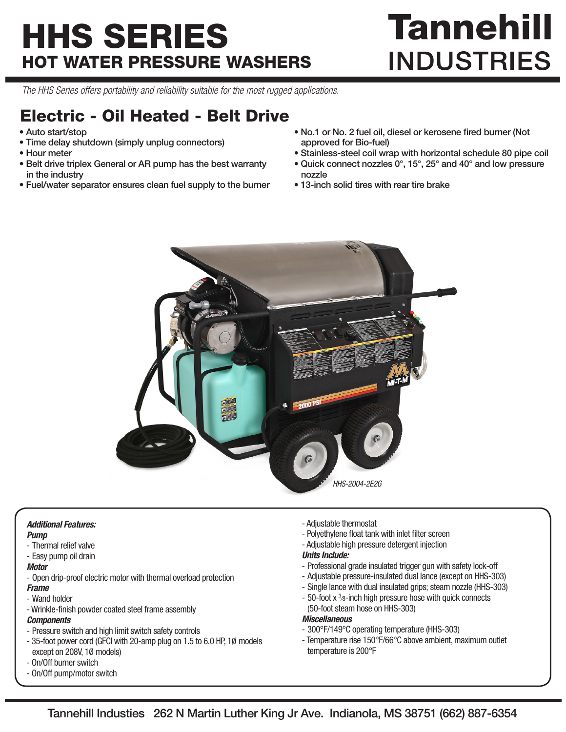## HHS SERIES HOT WATER PRESSURE WASHERS

# **Tannehill INDUSTRIES**

*The HHS Series offers portability and reliability suitable for the most rugged applications.*

### Electric - Oil Heated - Belt Drive

- Auto start/stop
- Time delay shutdown (simply unplug connectors)
- Hour meter
- Belt drive triplex General or AR pump has the best warranty in the industry
- Fuel/water separator ensures clean fuel supply to the burner
- No.1 or No. 2 fuel oil, diesel or kerosene fired burner (Not approved for Bio-fuel)
- Stainless-steel coil wrap with horizontal schedule 80 pipe coil
- Quick connect nozzles 0°, 15°, 25° and 40° and low pressure nozzle
- 13-inch solid tires with rear tire brake



#### *Additional Features:*

- *Pump*
- Thermal relief valve
- Easy pump oil drain

#### *Motor*

- Open drip-proof electric motor with thermal overload protection
- *Frame*
- Wand holder
- Wrinkle-finish powder coated steel frame assembly

#### *Components*

- Pressure switch and high limit switch safety controls
- 35-foot power cord (GFCI with 20-amp plug on 1.5 to 6.0 HP, 1Ø models except on 208V, 1Ø models)
- On/Off burner switch
- On/Off pump/motor switch
- Adjustable thermostat
- Polyethylene float tank with inlet filter screen
- Adjustable high pressure detergent injection

#### *Units Include:*

- Professional grade insulated trigger gun with safety lock-off
- Adjustable pressure-insulated dual lance (except on HHS-303)
- Single lance with dual insulated grips; steam nozzle (HHS-303)
- 50-foot x 3<sup>8</sup>-inch high pressure hose with quick connects (50-foot steam hose on HHS-303)

#### *Miscellaneous*

- 300°F/149°C operating temperature (HHS-303)
- Temperature rise 150°F/66°C above ambient, maximum outlet temperature is 200°F